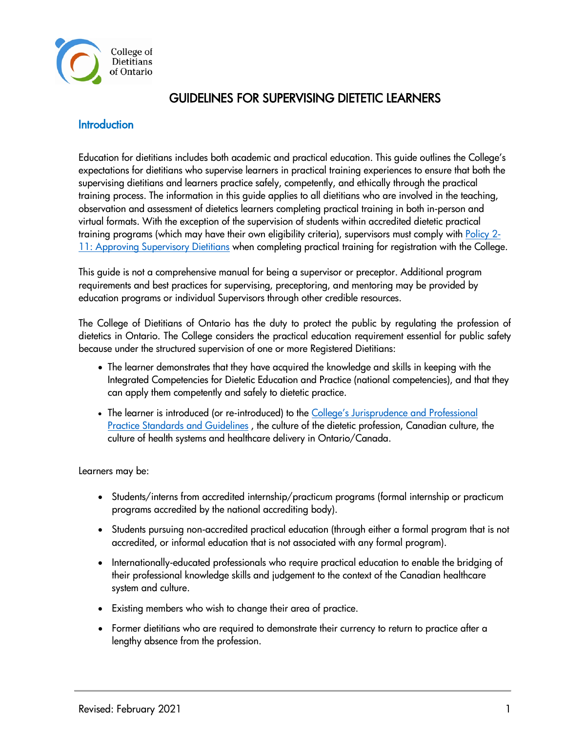

# GUIDELINES FOR SUPERVISING DIETETIC LEARNERS

### **Introduction**

Education for dietitians includes both academic and practical education. This guide outlines the College's expectations for dietitians who supervise learners in practical training experiences to ensure that both the supervising dietitians and learners practice safely, competently, and ethically through the practical training process. The information in this guide applies to all dietitians who are involved in the teaching, observation and assessment of dietetics learners completing practical training in both in-person and virtual formats. With the exception of the supervision of students within accredited dietetic practical training programs (which may have their own eligibility criteria), supervisors must comply with [Policy 2-](https://www.collegeofdietitians.org/programs/registration/registration-policies.aspx) [11: Approving Supervisory Dietitians](https://www.collegeofdietitians.org/programs/registration/registration-policies.aspx) when completing practical training for registration with the College.

This guide is not a comprehensive manual for being a supervisor or preceptor. Additional program requirements and best practices for supervising, preceptoring, and mentoring may be provided by education programs or individual Supervisors through other credible resources.

The College of Dietitians of Ontario has the duty to protect the public by regulating the profession of dietetics in Ontario. The College considers the practical education requirement essential for public safety because under the structured supervision of one or more Registered Dietitians:

- The learner demonstrates that they have acquired the knowledge and skills in keeping with the Integrated Competencies for Dietetic Education and Practice (national competencies), and that they can apply them competently and safely to dietetic practice.
- The learner is introduced (or re-introduced) to the College's Jurisprudence and Professional [Practice Standards and Guidelines](https://www.collegeofdietitians.org/programs/practice-advisory-program/professional-practice-resources.aspx), the culture of the dietetic profession, Canadian culture, the culture of health systems and healthcare delivery in Ontario/Canada.

Learners may be:

- Students/interns from accredited internship/practicum programs (formal internship or practicum programs accredited by the national accrediting body).
- Students pursuing non-accredited practical education (through either a formal program that is not accredited, or informal education that is not associated with any formal program).
- Internationally-educated professionals who require practical education to enable the bridging of their professional knowledge skills and judgement to the context of the Canadian healthcare system and culture.
- Existing members who wish to change their area of practice.
- Former dietitians who are required to demonstrate their currency to return to practice after a lengthy absence from the profession.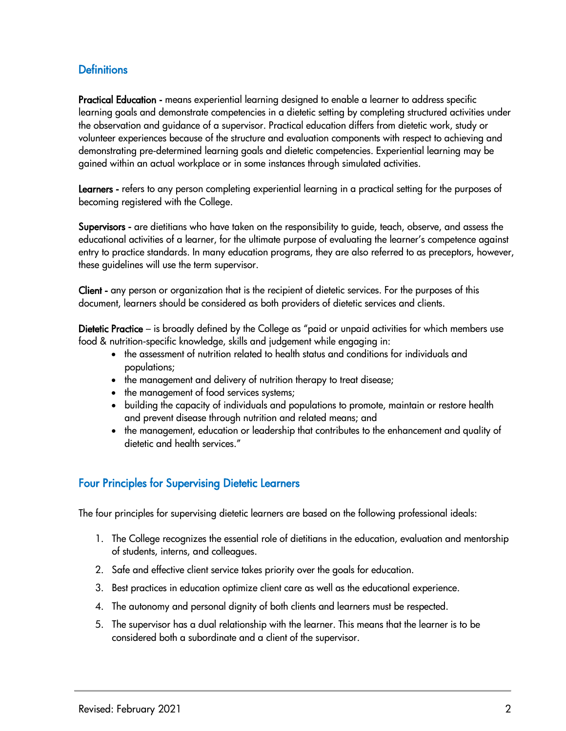## **Definitions**

Practical Education - means experiential learning designed to enable a learner to address specific learning goals and demonstrate competencies in a dietetic setting by completing structured activities under the observation and guidance of a supervisor. Practical education differs from dietetic work, study or volunteer experiences because of the structure and evaluation components with respect to achieving and demonstrating pre-determined learning goals and dietetic competencies. Experiential learning may be gained within an actual workplace or in some instances through simulated activities.

Learners - refers to any person completing experiential learning in a practical setting for the purposes of becoming registered with the College.

Supervisors - are dietitians who have taken on the responsibility to guide, teach, observe, and assess the educational activities of a learner, for the ultimate purpose of evaluating the learner's competence against entry to practice standards. In many education programs, they are also referred to as preceptors, however, these guidelines will use the term supervisor.

Client - any person or organization that is the recipient of dietetic services. For the purposes of this document, learners should be considered as both providers of dietetic services and clients.

Dietetic Practice – is broadly defined by the College as "paid or unpaid activities for which members use food & nutrition-specific knowledge, skills and judgement while engaging in:

- the assessment of nutrition related to health status and conditions for individuals and populations;
- the management and delivery of nutrition therapy to treat disease;
- the management of food services systems;
- building the capacity of individuals and populations to promote, maintain or restore health and prevent disease through nutrition and related means; and
- the management, education or leadership that contributes to the enhancement and quality of dietetic and health services."

## Four Principles for Supervising Dietetic Learners

The four principles for supervising dietetic learners are based on the following professional ideals:

- 1. The College recognizes the essential role of dietitians in the education, evaluation and mentorship of students, interns, and colleagues.
- 2. Safe and effective client service takes priority over the goals for education.
- 3. Best practices in education optimize client care as well as the educational experience.
- 4. The autonomy and personal dignity of both clients and learners must be respected.
- 5. The supervisor has a dual relationship with the learner. This means that the learner is to be considered both a subordinate and a client of the supervisor.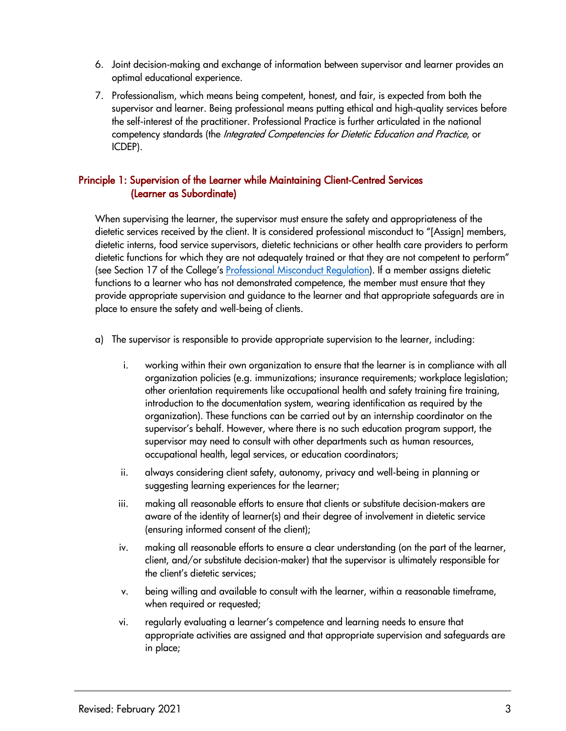- 6. Joint decision-making and exchange of information between supervisor and learner provides an optimal educational experience.
- 7. Professionalism, which means being competent, honest, and fair, is expected from both the supervisor and learner. Being professional means putting ethical and high-quality services before the self-interest of the practitioner. Professional Practice is further articulated in the national competency standards (the Integrated Competencies for Dietetic Education and Practice, or ICDEP).

### Principle 1: Supervision of the Learner while Maintaining Client-Centred Services (Learner as Subordinate)

When supervising the learner, the supervisor must ensure the safety and appropriateness of the dietetic services received by the client. It is considered professional misconduct to "[Assign] members, dietetic interns, food service supervisors, dietetic technicians or other health care providers to perform dietetic functions for which they are not adequately trained or that they are not competent to perform" (see Section 17 of the College's [Professional Misconduct Regulation\)](https://www.ontario.ca/laws/regulation/930680). If a member assigns dietetic functions to a learner who has not demonstrated competence, the member must ensure that they provide appropriate supervision and guidance to the learner and that appropriate safeguards are in place to ensure the safety and well-being of clients.

- a) The supervisor is responsible to provide appropriate supervision to the learner, including:
	- i. working within their own organization to ensure that the learner is in compliance with all organization policies (e.g. immunizations; insurance requirements; workplace legislation; other orientation requirements like occupational health and safety training fire training, introduction to the documentation system, wearing identification as required by the organization). These functions can be carried out by an internship coordinator on the supervisor's behalf. However, where there is no such education program support, the supervisor may need to consult with other departments such as human resources, occupational health, legal services, or education coordinators;
	- ii. always considering client safety, autonomy, privacy and well-being in planning or suggesting learning experiences for the learner;
	- iii. making all reasonable efforts to ensure that clients or substitute decision-makers are aware of the identity of learner(s) and their degree of involvement in dietetic service (ensuring informed consent of the client);
	- iv. making all reasonable efforts to ensure a clear understanding (on the part of the learner, client, and/or substitute decision-maker) that the supervisor is ultimately responsible for the client's dietetic services;
	- v. being willing and available to consult with the learner, within a reasonable timeframe, when required or requested;
	- vi. regularly evaluating a learner's competence and learning needs to ensure that appropriate activities are assigned and that appropriate supervision and safeguards are in place;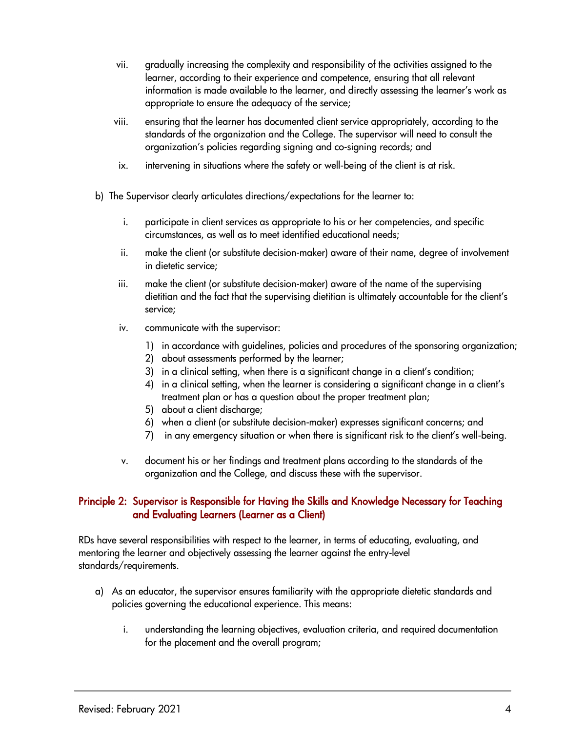- vii. gradually increasing the complexity and responsibility of the activities assigned to the learner, according to their experience and competence, ensuring that all relevant information is made available to the learner, and directly assessing the learner's work as appropriate to ensure the adequacy of the service;
- viii. ensuring that the learner has documented client service appropriately, according to the standards of the organization and the College. The supervisor will need to consult the organization's policies regarding signing and co-signing records; and
- ix. intervening in situations where the safety or well-being of the client is at risk.
- b) The Supervisor clearly articulates directions/expectations for the learner to:
	- i. participate in client services as appropriate to his or her competencies, and specific circumstances, as well as to meet identified educational needs;
	- ii. make the client (or substitute decision-maker) aware of their name, degree of involvement in dietetic service;
	- iii. make the client (or substitute decision-maker) aware of the name of the supervising dietitian and the fact that the supervising dietitian is ultimately accountable for the client's service;
	- iv. communicate with the supervisor:
		- 1) in accordance with guidelines, policies and procedures of the sponsoring organization;
		- 2) about assessments performed by the learner;
		- 3) in a clinical setting, when there is a significant change in a client's condition;
		- 4) in a clinical setting, when the learner is considering a significant change in a client's treatment plan or has a question about the proper treatment plan;
		- 5) about a client discharge;
		- 6) when a client (or substitute decision-maker) expresses significant concerns; and
		- 7) in any emergency situation or when there is significant risk to the client's well-being.
	- v. document his or her findings and treatment plans according to the standards of the organization and the College, and discuss these with the supervisor.

## Principle 2: Supervisor is Responsible for Having the Skills and Knowledge Necessary for Teaching and Evaluating Learners (Learner as a Client)

RDs have several responsibilities with respect to the learner, in terms of educating, evaluating, and mentoring the learner and objectively assessing the learner against the entry-level standards/requirements.

- a) As an educator, the supervisor ensures familiarity with the appropriate dietetic standards and policies governing the educational experience. This means:
	- i. understanding the learning objectives, evaluation criteria, and required documentation for the placement and the overall program;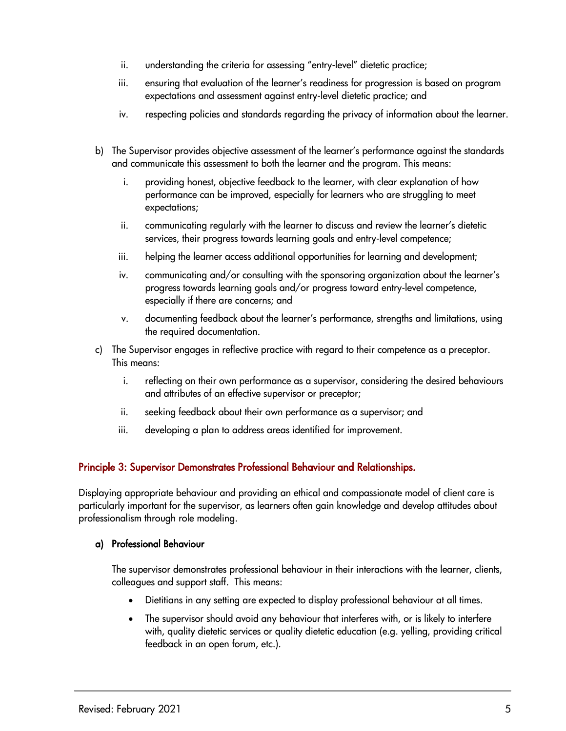- ii. understanding the criteria for assessing "entry-level" dietetic practice;
- iii. ensuring that evaluation of the learner's readiness for progression is based on program expectations and assessment against entry-level dietetic practice; and
- iv. respecting policies and standards regarding the privacy of information about the learner.
- b) The Supervisor provides objective assessment of the learner's performance against the standards and communicate this assessment to both the learner and the program. This means:
	- i. providing honest, objective feedback to the learner, with clear explanation of how performance can be improved, especially for learners who are struggling to meet expectations;
	- ii. communicating regularly with the learner to discuss and review the learner's dietetic services, their progress towards learning goals and entry-level competence;
	- iii. helping the learner access additional opportunities for learning and development;
	- iv. communicating and/or consulting with the sponsoring organization about the learner's progress towards learning goals and/or progress toward entry-level competence, especially if there are concerns; and
	- v. documenting feedback about the learner's performance, strengths and limitations, using the required documentation.
- c) The Supervisor engages in reflective practice with regard to their competence as a preceptor. This means:
	- i. reflecting on their own performance as a supervisor, considering the desired behaviours and attributes of an effective supervisor or preceptor;
	- ii. seeking feedback about their own performance as a supervisor; and
	- iii. developing a plan to address areas identified for improvement.

## Principle 3: Supervisor Demonstrates Professional Behaviour and Relationships.

Displaying appropriate behaviour and providing an ethical and compassionate model of client care is particularly important for the supervisor, as learners often gain knowledge and develop attitudes about professionalism through role modeling.

#### a) Professional Behaviour

The supervisor demonstrates professional behaviour in their interactions with the learner, clients, colleagues and support staff. This means:

- Dietitians in any setting are expected to display professional behaviour at all times.
- The supervisor should avoid any behaviour that interferes with, or is likely to interfere with, quality dietetic services or quality dietetic education (e.g. yelling, providing critical feedback in an open forum, etc.).